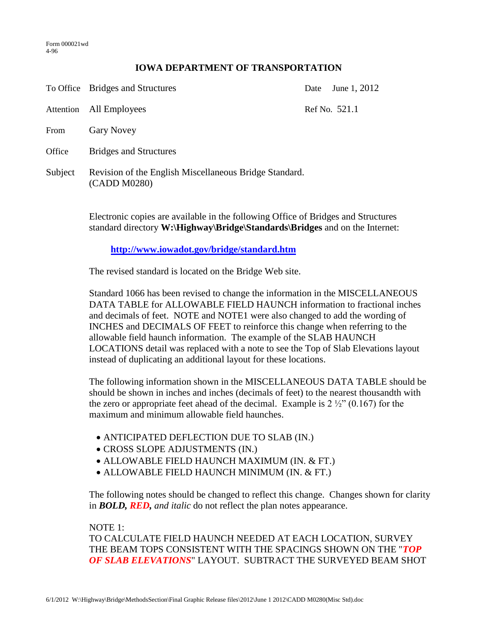## **IOWA DEPARTMENT OF TRANSPORTATION**

|           | To Office Bridges and Structures                                       | Date | June 1, 2012  |
|-----------|------------------------------------------------------------------------|------|---------------|
| Attention | All Employees                                                          |      | Ref No. 521.1 |
| From      | <b>Gary Novey</b>                                                      |      |               |
| Office    | <b>Bridges and Structures</b>                                          |      |               |
| Subject   | Revision of the English Miscellaneous Bridge Standard.<br>(CADD M0280) |      |               |

Electronic copies are available in the following Office of Bridges and Structures standard directory **W:\Highway\Bridge\Standards\Bridges** and on the Internet:

## **<http://www.iowadot.gov/bridge/standard.htm>**

The revised standard is located on the Bridge Web site.

Standard 1066 has been revised to change the information in the MISCELLANEOUS DATA TABLE for ALLOWABLE FIELD HAUNCH information to fractional inches and decimals of feet. NOTE and NOTE1 were also changed to add the wording of INCHES and DECIMALS OF FEET to reinforce this change when referring to the allowable field haunch information. The example of the SLAB HAUNCH LOCATIONS detail was replaced with a note to see the Top of Slab Elevations layout instead of duplicating an additional layout for these locations.

The following information shown in the MISCELLANEOUS DATA TABLE should be should be shown in inches and inches (decimals of feet) to the nearest thousandth with the zero or appropriate feet ahead of the decimal. Example is  $2\frac{1}{2}$  (0.167) for the maximum and minimum allowable field haunches.

- ANTICIPATED DEFLECTION DUE TO SLAB (IN.)
- CROSS SLOPE ADJUSTMENTS (IN.)
- ALLOWABLE FIELD HAUNCH MAXIMUM (IN. & FT.)
- ALLOWABLE FIELD HAUNCH MINIMUM (IN. & FT.)

The following notes should be changed to reflect this change. Changes shown for clarity in *BOLD, RED, and italic* do not reflect the plan notes appearance.

## NOTE 1:

TO CALCULATE FIELD HAUNCH NEEDED AT EACH LOCATION, SURVEY THE BEAM TOPS CONSISTENT WITH THE SPACINGS SHOWN ON THE "*TOP OF SLAB ELEVATIONS*" LAYOUT. SUBTRACT THE SURVEYED BEAM SHOT